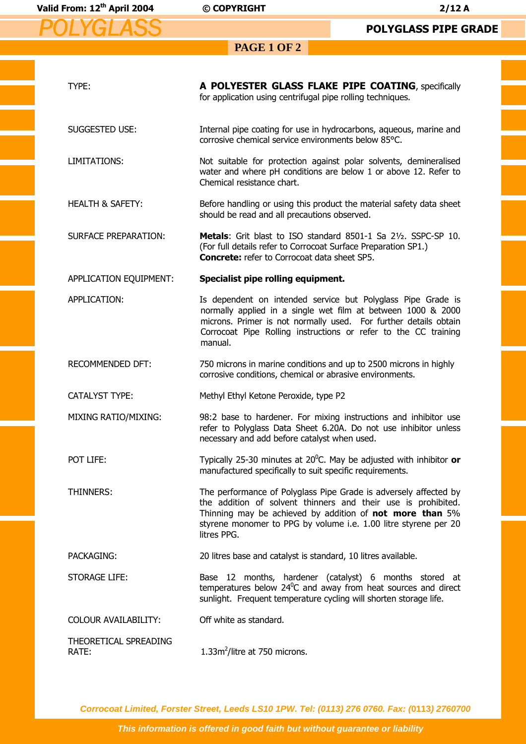*POLYGLASS*

**PAGE 1 OF 2** 

| TYPE:                          | A POLYESTER GLASS FLAKE PIPE COATING, specifically<br>for application using centrifugal pipe rolling techniques.                                                                                                                                                                |  |
|--------------------------------|---------------------------------------------------------------------------------------------------------------------------------------------------------------------------------------------------------------------------------------------------------------------------------|--|
| SUGGESTED USE:                 | Internal pipe coating for use in hydrocarbons, aqueous, marine and<br>corrosive chemical service environments below 85°C.                                                                                                                                                       |  |
| LIMITATIONS:                   | Not suitable for protection against polar solvents, demineralised<br>water and where pH conditions are below 1 or above 12. Refer to<br>Chemical resistance chart.                                                                                                              |  |
| <b>HEALTH &amp; SAFETY:</b>    | Before handling or using this product the material safety data sheet<br>should be read and all precautions observed.                                                                                                                                                            |  |
| <b>SURFACE PREPARATION:</b>    | Metals: Grit blast to ISO standard 8501-1 Sa 21/2. SSPC-SP 10.<br>(For full details refer to Corrocoat Surface Preparation SP1.)<br><b>Concrete:</b> refer to Corrocoat data sheet SP5.                                                                                         |  |
| APPLICATION EQUIPMENT:         | Specialist pipe rolling equipment.                                                                                                                                                                                                                                              |  |
| APPLICATION:                   | Is dependent on intended service but Polyglass Pipe Grade is<br>normally applied in a single wet film at between 1000 & 2000<br>microns. Primer is not normally used. For further details obtain<br>Corrocoat Pipe Rolling instructions or refer to the CC training<br>manual.  |  |
| RECOMMENDED DFT:               | 750 microns in marine conditions and up to 2500 microns in highly<br>corrosive conditions, chemical or abrasive environments.                                                                                                                                                   |  |
| <b>CATALYST TYPE:</b>          | Methyl Ethyl Ketone Peroxide, type P2                                                                                                                                                                                                                                           |  |
| <b>MIXING RATIO/MIXING:</b>    | 98:2 base to hardener. For mixing instructions and inhibitor use<br>refer to Polyglass Data Sheet 6.20A. Do not use inhibitor unless<br>necessary and add before catalyst when used.                                                                                            |  |
| POT LIFE:                      | Typically 25-30 minutes at $20^0$ C. May be adjusted with inhibitor or<br>manufactured specifically to suit specific requirements.                                                                                                                                              |  |
| <b>THINNERS:</b>               | The performance of Polyglass Pipe Grade is adversely affected by<br>the addition of solvent thinners and their use is prohibited.<br>Thinning may be achieved by addition of not more than 5%<br>styrene monomer to PPG by volume i.e. 1.00 litre styrene per 20<br>litres PPG. |  |
| PACKAGING:                     | 20 litres base and catalyst is standard, 10 litres available.                                                                                                                                                                                                                   |  |
| <b>STORAGE LIFE:</b>           | Base 12 months, hardener (catalyst) 6 months stored at<br>temperatures below $24^{\circ}$ C and away from heat sources and direct<br>sunlight. Frequent temperature cycling will shorten storage life.                                                                          |  |
| <b>COLOUR AVAILABILITY:</b>    | Off white as standard.                                                                                                                                                                                                                                                          |  |
| THEORETICAL SPREADING<br>RATE: | 1.33m <sup>2</sup> /litre at 750 microns.                                                                                                                                                                                                                                       |  |

**Corrocoat Limited, Forster Street, Leeds LS10 1PW. Tel: (0113) 276 0760. Fax: (0113) 2760700** 

**This information is offered in good faith but without guarantee or liability**